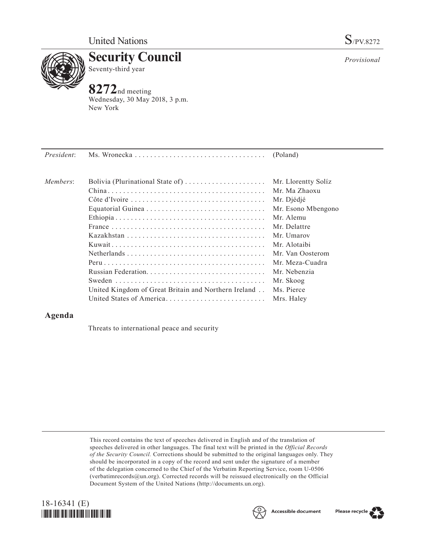

**Security Council** Seventy-third year

## **8272**nd meeting

Wednesday, 30 May 2018, 3 p.m. New York

| President: |                                                                        |                     |
|------------|------------------------------------------------------------------------|---------------------|
|            |                                                                        |                     |
| Members:   | Bolivia (Plurinational State of) $\dots \dots \dots \dots \dots \dots$ | Mr. Llorentty Solíz |
|            |                                                                        | Mr. Ma Zhaoxu       |
|            |                                                                        | Mr. Djédjé          |
|            |                                                                        | Mr. Esono Mbengono  |
|            |                                                                        | Mr. Alemu           |
|            |                                                                        | Mr. Delattre        |
|            |                                                                        | Mr. Umarov          |
|            |                                                                        | Mr. Alotaibi        |

|                                                      | Mr. Djédjé       |
|------------------------------------------------------|------------------|
|                                                      | Mr. Esono Mbengo |
|                                                      | Mr. Alemu        |
|                                                      | Mr. Delattre     |
|                                                      | Mr. Umarov       |
|                                                      | Mr. Alotaibi     |
|                                                      | Mr. Van Oosterom |
|                                                      | Mr. Meza-Cuadra  |
|                                                      | Mr. Nebenzia     |
|                                                      | Mr. Skoog        |
| United Kingdom of Great Britain and Northern Ireland | Ms. Pierce       |
| United States of America Mrs. Haley                  |                  |
|                                                      |                  |

## **Agenda**

Threats to international peace and security

This record contains the text of speeches delivered in English and of the translation of speeches delivered in other languages. The final text will be printed in the *Official Records of the Security Council.* Corrections should be submitted to the original languages only. They should be incorporated in a copy of the record and sent under the signature of a member of the delegation concerned to the Chief of the Verbatim Reporting Service, room U-0506 (verbatimrecords $@un.org$ ). Corrected records will be reissued electronically on the Official Document System of the United Nations [\(http://documents.un.org\)](http://documents.un.org).





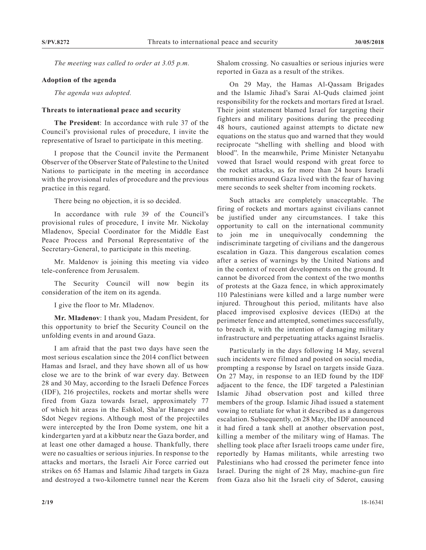*The meeting was called to order at 3.05 p.m.*

## **Adoption of the agenda**

*The agenda was adopted.*

## **Threats to international peace and security**

**The President**: In accordance with rule 37 of the Council's provisional rules of procedure, I invite the representative of Israel to participate in this meeting.

I propose that the Council invite the Permanent Observer of the Observer State of Palestine to the United Nations to participate in the meeting in accordance with the provisional rules of procedure and the previous practice in this regard.

There being no objection, it is so decided.

In accordance with rule 39 of the Council's provisional rules of procedure, I invite Mr. Nickolay Mladenov, Special Coordinator for the Middle East Peace Process and Personal Representative of the Secretary-General, to participate in this meeting.

Mr. Maldenov is joining this meeting via video tele-conference from Jerusalem.

The Security Council will now begin its consideration of the item on its agenda.

I give the floor to Mr. Mladenov.

**Mr. Mladenov**: I thank you, Madam President, for this opportunity to brief the Security Council on the unfolding events in and around Gaza.

I am afraid that the past two days have seen the most serious escalation since the 2014 conflict between Hamas and Israel, and they have shown all of us how close we are to the brink of war every day. Between 28 and 30 May, according to the Israeli Defence Forces (IDF), 216 projectiles, rockets and mortar shells were fired from Gaza towards Israel, approximately 77 of which hit areas in the Eshkol, Sha'ar Hanegev and Sdot Negev regions. Although most of the projectiles were intercepted by the Iron Dome system, one hit a kindergarten yard at a kibbutz near the Gaza border, and at least one other damaged a house. Thankfully, there were no casualties or serious injuries. In response to the attacks and mortars, the Israeli Air Force carried out strikes on 65 Hamas and Islamic Jihad targets in Gaza and destroyed a two-kilometre tunnel near the Kerem

Shalom crossing. No casualties or serious injuries were reported in Gaza as a result of the strikes.

On 29 May, the Hamas Al-Qassam Brigades and the Islamic Jihad's Sarai Al-Quds claimed joint responsibility for the rockets and mortars fired at Israel. Their joint statement blamed Israel for targeting their fighters and military positions during the preceding 48 hours, cautioned against attempts to dictate new equations on the status quo and warned that they would reciprocate "shelling with shelling and blood with blood". In the meanwhile, Prime Minister Netanyahu vowed that Israel would respond with great force to the rocket attacks, as for more than 24 hours Israeli communities around Gaza lived with the fear of having mere seconds to seek shelter from incoming rockets.

Such attacks are completely unacceptable. The firing of rockets and mortars against civilians cannot be justified under any circumstances. I take this opportunity to call on the international community to join me in unequivocally condemning the indiscriminate targeting of civilians and the dangerous escalation in Gaza. This dangerous escalation comes after a series of warnings by the United Nations and in the context of recent developments on the ground. It cannot be divorced from the context of the two months of protests at the Gaza fence, in which approximately 110 Palestinians were killed and a large number were injured. Throughout this period, militants have also placed improvised explosive devices (IEDs) at the perimeter fence and attempted, sometimes successfully, to breach it, with the intention of damaging military infrastructure and perpetuating attacks against Israelis.

Particularly in the days following 14 May, several such incidents were filmed and posted on social media, prompting a response by Israel on targets inside Gaza. On 27 May, in response to an IED found by the IDF adjacent to the fence, the IDF targeted a Palestinian Islamic Jihad observation post and killed three members of the group. Islamic Jihad issued a statement vowing to retaliate for what it described as a dangerous escalation. Subsequently, on 28 May, the IDF announced it had fired a tank shell at another observation post, killing a member of the military wing of Hamas. The shelling took place after Israeli troops came under fire, reportedly by Hamas militants, while arresting two Palestinians who had crossed the perimeter fence into Israel. During the night of 28 May, machine-gun fire from Gaza also hit the Israeli city of Sderot, causing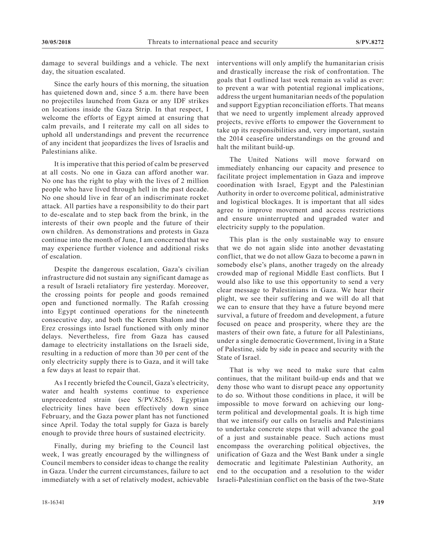damage to several buildings and a vehicle. The next day, the situation escalated.

Since the early hours of this morning, the situation has quietened down and, since 5 a.m. there have been no projectiles launched from Gaza or any IDF strikes on locations inside the Gaza Strip. In that respect, I welcome the efforts of Egypt aimed at ensuring that calm prevails, and I reiterate my call on all sides to uphold all understandings and prevent the recurrence of any incident that jeopardizes the lives of Israelis and Palestinians alike.

It is imperative that this period of calm be preserved at all costs. No one in Gaza can afford another war. No one has the right to play with the lives of 2 million people who have lived through hell in the past decade. No one should live in fear of an indiscriminate rocket attack. All parties have a responsibility to do their part to de-escalate and to step back from the brink, in the interests of their own people and the future of their own children. As demonstrations and protests in Gaza continue into the month of June, I am concerned that we may experience further violence and additional risks of escalation.

Despite the dangerous escalation, Gaza's civilian infrastructure did not sustain any significant damage as a result of Israeli retaliatory fire yesterday. Moreover, the crossing points for people and goods remained open and functioned normally. The Rafah crossing into Egypt continued operations for the nineteenth consecutive day, and both the Kerem Shalom and the Erez crossings into Israel functioned with only minor delays. Nevertheless, fire from Gaza has caused damage to electricity installations on the Israeli side, resulting in a reduction of more than 30 per cent of the only electricity supply there is to Gaza, and it will take a few days at least to repair that.

As I recently briefed the Council, Gaza's electricity, water and health systems continue to experience unprecedented strain (see S/PV.8265). Egyptian electricity lines have been effectively down since February, and the Gaza power plant has not functioned since April. Today the total supply for Gaza is barely enough to provide three hours of sustained electricity.

Finally, during my briefing to the Council last week, I was greatly encouraged by the willingness of Council members to consider ideas to change the reality in Gaza. Under the current circumstances, failure to act immediately with a set of relatively modest, achievable

interventions will only amplify the humanitarian crisis and drastically increase the risk of confrontation. The goals that I outlined last week remain as valid as ever: to prevent a war with potential regional implications, address the urgent humanitarian needs of the population and support Egyptian reconciliation efforts. That means that we need to urgently implement already approved projects, revive efforts to empower the Government to take up its responsibilities and, very important, sustain the 2014 ceasefire understandings on the ground and halt the militant build-up.

The United Nations will move forward on immediately enhancing our capacity and presence to facilitate project implementation in Gaza and improve coordination with Israel, Egypt and the Palestinian Authority in order to overcome political, administrative and logistical blockages. It is important that all sides agree to improve movement and access restrictions and ensure uninterrupted and upgraded water and electricity supply to the population.

This plan is the only sustainable way to ensure that we do not again slide into another devastating conflict, that we do not allow Gaza to become a pawn in somebody else's plans, another tragedy on the already crowded map of regional Middle East conflicts. But I would also like to use this opportunity to send a very clear message to Palestinians in Gaza. We hear their plight, we see their suffering and we will do all that we can to ensure that they have a future beyond mere survival, a future of freedom and development, a future focused on peace and prosperity, where they are the masters of their own fate, a future for all Palestinians, under a single democratic Government, living in a State of Palestine, side by side in peace and security with the State of Israel.

That is why we need to make sure that calm continues, that the militant build-up ends and that we deny those who want to disrupt peace any opportunity to do so. Without those conditions in place, it will be impossible to move forward on achieving our longterm political and developmental goals. It is high time that we intensify our calls on Israelis and Palestinians to undertake concrete steps that will advance the goal of a just and sustainable peace. Such actions must encompass the overarching political objectives, the unification of Gaza and the West Bank under a single democratic and legitimate Palestinian Authority, an end to the occupation and a resolution to the wider Israeli-Palestinian conflict on the basis of the two-State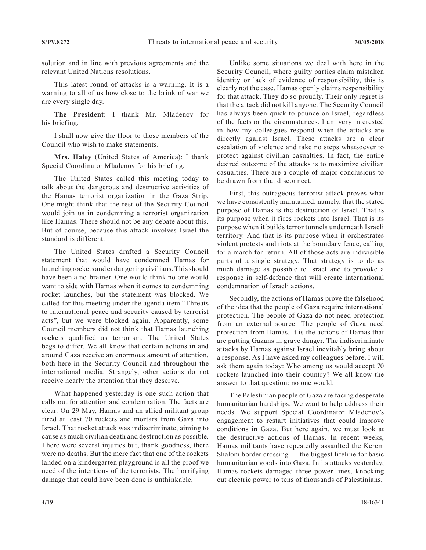solution and in line with previous agreements and the relevant United Nations resolutions.

This latest round of attacks is a warning. It is a warning to all of us how close to the brink of war we are every single day.

**The President**: I thank Mr. Mladenov for his briefing.

I shall now give the floor to those members of the Council who wish to make statements.

**Mrs. Haley** (United States of America): I thank Special Coordinator Mladenov for his briefing.

The United States called this meeting today to talk about the dangerous and destructive activities of the Hamas terrorist organization in the Gaza Strip. One might think that the rest of the Security Council would join us in condemning a terrorist organization like Hamas. There should not be any debate about this. But of course, because this attack involves Israel the standard is different.

The United States drafted a Security Council statement that would have condemned Hamas for launching rockets and endangering civilians. This should have been a no-brainer. One would think no one would want to side with Hamas when it comes to condemning rocket launches, but the statement was blocked. We called for this meeting under the agenda item "Threats to international peace and security caused by terrorist acts", but we were blocked again. Apparently, some Council members did not think that Hamas launching rockets qualified as terrorism. The United States begs to differ. We all know that certain actions in and around Gaza receive an enormous amount of attention, both here in the Security Council and throughout the international media. Strangely, other actions do not receive nearly the attention that they deserve.

What happened yesterday is one such action that calls out for attention and condemnation. The facts are clear. On 29 May, Hamas and an allied militant group fired at least 70 rockets and mortars from Gaza into Israel. That rocket attack was indiscriminate, aiming to cause as much civilian death and destruction as possible. There were several injuries but, thank goodness, there were no deaths. But the mere fact that one of the rockets landed on a kindergarten playground is all the proof we need of the intentions of the terrorists. The horrifying damage that could have been done is unthinkable.

Unlike some situations we deal with here in the Security Council, where guilty parties claim mistaken identity or lack of evidence of responsibility, this is clearly not the case. Hamas openly claims responsibility for that attack. They do so proudly. Their only regret is that the attack did not kill anyone. The Security Council has always been quick to pounce on Israel, regardless of the facts or the circumstances. I am very interested in how my colleagues respond when the attacks are directly against Israel. These attacks are a clear escalation of violence and take no steps whatsoever to protect against civilian casualties. In fact, the entire desired outcome of the attacks is to maximize civilian casualties. There are a couple of major conclusions to be drawn from that disconnect.

First, this outrageous terrorist attack proves what we have consistently maintained, namely, that the stated purpose of Hamas is the destruction of Israel. That is its purpose when it fires rockets into Israel. That is its purpose when it builds terror tunnels underneath Israeli territory. And that is its purpose when it orchestrates violent protests and riots at the boundary fence, calling for a march for return. All of those acts are indivisible parts of a single strategy. That strategy is to do as much damage as possible to Israel and to provoke a response in self-defence that will create international condemnation of Israeli actions.

Secondly, the actions of Hamas prove the falsehood of the idea that the people of Gaza require international protection. The people of Gaza do not need protection from an external source. The people of Gaza need protection from Hamas. It is the actions of Hamas that are putting Gazans in grave danger. The indiscriminate attacks by Hamas against Israel inevitably bring about a response. As I have asked my colleagues before, I will ask them again today: Who among us would accept 70 rockets launched into their country? We all know the answer to that question: no one would.

The Palestinian people of Gaza are facing desperate humanitarian hardships. We want to help address their needs. We support Special Coordinator Mladenov's engagement to restart initiatives that could improve conditions in Gaza. But here again, we must look at the destructive actions of Hamas. In recent weeks, Hamas militants have repeatedly assaulted the Kerem Shalom border crossing — the biggest lifeline for basic humanitarian goods into Gaza. In its attacks yesterday, Hamas rockets damaged three power lines, knocking out electric power to tens of thousands of Palestinians.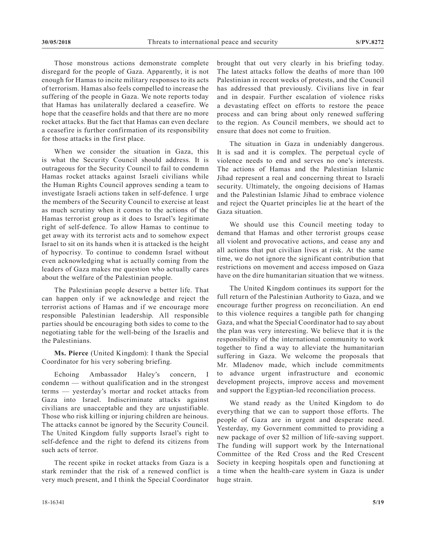Those monstrous actions demonstrate complete disregard for the people of Gaza. Apparently, it is not enough for Hamas to incite military responses to its acts of terrorism. Hamas also feels compelled to increase the suffering of the people in Gaza. We note reports today that Hamas has unilaterally declared a ceasefire. We hope that the ceasefire holds and that there are no more rocket attacks. But the fact that Hamas can even declare a ceasefire is further confirmation of its responsibility for those attacks in the first place.

When we consider the situation in Gaza, this is what the Security Council should address. It is outrageous for the Security Council to fail to condemn Hamas rocket attacks against Israeli civilians while the Human Rights Council approves sending a team to investigate Israeli actions taken in self-defence. I urge the members of the Security Council to exercise at least as much scrutiny when it comes to the actions of the Hamas terrorist group as it does to Israel's legitimate right of self-defence. To allow Hamas to continue to get away with its terrorist acts and to somehow expect Israel to sit on its hands when it is attacked is the height of hypocrisy. To continue to condemn Israel without even acknowledging what is actually coming from the leaders of Gaza makes me question who actually cares about the welfare of the Palestinian people.

The Palestinian people deserve a better life. That can happen only if we acknowledge and reject the terrorist actions of Hamas and if we encourage more responsible Palestinian leadership. All responsible parties should be encouraging both sides to come to the negotiating table for the well-being of the Israelis and the Palestinians.

**Ms. Pierce** (United Kingdom): I thank the Special Coordinator for his very sobering briefing.

Echoing Ambassador Haley's concern, I condemn — without qualification and in the strongest terms — yesterday's mortar and rocket attacks from Gaza into Israel. Indiscriminate attacks against civilians are unacceptable and they are unjustifiable. Those who risk killing or injuring children are heinous. The attacks cannot be ignored by the Security Council. The United Kingdom fully supports Israel's right to self-defence and the right to defend its citizens from such acts of terror.

The recent spike in rocket attacks from Gaza is a stark reminder that the risk of a renewed conflict is very much present, and I think the Special Coordinator brought that out very clearly in his briefing today. The latest attacks follow the deaths of more than 100 Palestinian in recent weeks of protests, and the Council has addressed that previously. Civilians live in fear and in despair. Further escalation of violence risks a devastating effect on efforts to restore the peace process and can bring about only renewed suffering to the region. As Council members, we should act to ensure that does not come to fruition.

The situation in Gaza in undeniably dangerous. It is sad and it is complex. The perpetual cycle of violence needs to end and serves no one's interests. The actions of Hamas and the Palestinian Islamic Jihad represent a real and concerning threat to Israeli security. Ultimately, the ongoing decisions of Hamas and the Palestinian Islamic Jihad to embrace violence and reject the Quartet principles lie at the heart of the Gaza situation.

We should use this Council meeting today to demand that Hamas and other terrorist groups cease all violent and provocative actions, and cease any and all actions that put civilian lives at risk. At the same time, we do not ignore the significant contribution that restrictions on movement and access imposed on Gaza have on the dire humanitarian situation that we witness.

The United Kingdom continues its support for the full return of the Palestinian Authority to Gaza, and we encourage further progress on reconciliation. An end to this violence requires a tangible path for changing Gaza, and what the Special Coordinator had to say about the plan was very interesting. We believe that it is the responsibility of the international community to work together to find a way to alleviate the humanitarian suffering in Gaza. We welcome the proposals that Mr. Mladenov made, which include commitments to advance urgent infrastructure and economic development projects, improve access and movement and support the Egyptian-led reconciliation process.

We stand ready as the United Kingdom to do everything that we can to support those efforts. The people of Gaza are in urgent and desperate need. Yesterday, my Government committed to providing a new package of over \$2 million of life-saving support. The funding will support work by the International Committee of the Red Cross and the Red Crescent Society in keeping hospitals open and functioning at a time when the health-care system in Gaza is under huge strain.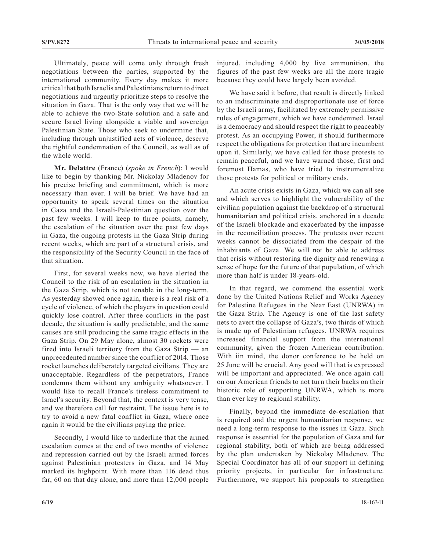Ultimately, peace will come only through fresh negotiations between the parties, supported by the international community. Every day makes it more critical that both Israelis and Palestinians return to direct negotiations and urgently prioritize steps to resolve the situation in Gaza. That is the only way that we will be able to achieve the two-State solution and a safe and secure Israel living alongside a viable and sovereign Palestinian State. Those who seek to undermine that, including through unjustified acts of violence, deserve the rightful condemnation of the Council, as well as of the whole world.

**Mr. Delattre** (France) (*spoke in French*): I would like to begin by thanking Mr. Nickolay Mladenov for his precise briefing and commitment, which is more necessary than ever. I will be brief. We have had an opportunity to speak several times on the situation in Gaza and the Israeli-Palestinian question over the past few weeks. I will keep to three points, namely, the escalation of the situation over the past few days in Gaza, the ongoing protests in the Gaza Strip during recent weeks, which are part of a structural crisis, and the responsibility of the Security Council in the face of that situation.

First, for several weeks now, we have alerted the Council to the risk of an escalation in the situation in the Gaza Strip, which is not tenable in the long-term. As yesterday showed once again, there is a real risk of a cycle of violence, of which the players in question could quickly lose control. After three conflicts in the past decade, the situation is sadly predictable, and the same causes are still producing the same tragic effects in the Gaza Strip. On 29 May alone, almost 30 rockets were fired into Israeli territory from the Gaza Strip — an unprecedented number since the conflict of 2014. Those rocket launches deliberately targeted civilians. They are unacceptable. Regardless of the perpetrators, France condemns them without any ambiguity whatsoever. I would like to recall France's tireless commitment to Israel's security. Beyond that, the context is very tense, and we therefore call for restraint. The issue here is to try to avoid a new fatal conflict in Gaza, where once again it would be the civilians paying the price.

Secondly, I would like to underline that the armed escalation comes at the end of two months of violence and repression carried out by the Israeli armed forces against Palestinian protesters in Gaza, and 14 May marked its highpoint. With more than 116 dead thus far, 60 on that day alone, and more than 12,000 people injured, including 4,000 by live ammunition, the figures of the past few weeks are all the more tragic because they could have largely been avoided.

We have said it before, that result is directly linked to an indiscriminate and disproportionate use of force by the Israeli army, facilitated by extremely permissive rules of engagement, which we have condemned. Israel is a democracy and should respect the right to peaceably protest. As an occupying Power, it should furthermore respect the obligations for protection that are incumbent upon it. Similarly, we have called for those protests to remain peaceful, and we have warned those, first and foremost Hamas, who have tried to instrumentalize those protests for political or military ends.

An acute crisis exists in Gaza, which we can all see and which serves to highlight the vulnerability of the civilian population against the backdrop of a structural humanitarian and political crisis, anchored in a decade of the Israeli blockade and exacerbated by the impasse in the reconciliation process. The protests over recent weeks cannot be dissociated from the despair of the inhabitants of Gaza. We will not be able to address that crisis without restoring the dignity and renewing a sense of hope for the future of that population, of which more than half is under 18-years-old.

In that regard, we commend the essential work done by the United Nations Relief and Works Agency for Palestine Refugees in the Near East (UNRWA) in the Gaza Strip. The Agency is one of the last safety nets to avert the collapse of Gaza's, two thirds of which is made up of Palestinian refugees. UNRWA requires increased financial support from the international community, given the frozen American contribution. With iin mind, the donor conference to be held on 25 June will be crucial. Any good will that is expressed will be important and appreciated. We once again call on our American friends to not turn their backs on their historic role of supporting UNRWA, which is more than ever key to regional stability.

Finally, beyond the immediate de-escalation that is required and the urgent humanitarian response, we need a long-term response to the issues in Gaza. Such response is essential for the population of Gaza and for regional stability, both of which are being addressed by the plan undertaken by Nickolay Mladenov. The Special Coordinator has all of our support in defining priority projects, in particular for infrastructure. Furthermore, we support his proposals to strengthen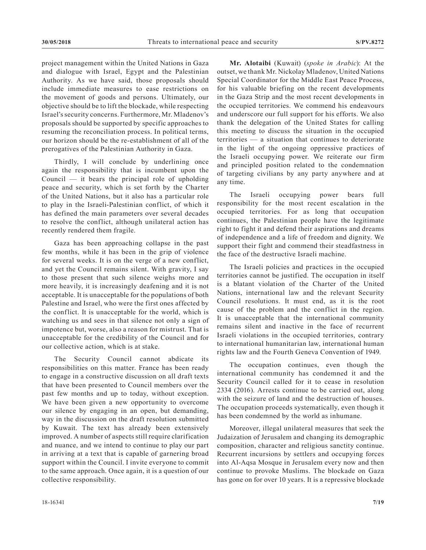project management within the United Nations in Gaza and dialogue with Israel, Egypt and the Palestinian Authority. As we have said, those proposals should include immediate measures to ease restrictions on the movement of goods and persons. Ultimately, our objective should be to lift the blockade, while respecting Israel's security concerns. Furthermore, Mr. Mladenov's proposals should be supported by specific approaches to resuming the reconciliation process. In political terms, our horizon should be the re-establishment of all of the prerogatives of the Palestinian Authority in Gaza.

Thirdly, I will conclude by underlining once again the responsibility that is incumbent upon the Council  $-$  it bears the principal role of upholding peace and security, which is set forth by the Charter of the United Nations, but it also has a particular role to play in the Israeli-Palestinian conflict, of which it has defined the main parameters over several decades to resolve the conflict, although unilateral action has recently rendered them fragile.

Gaza has been approaching collapse in the past few months, while it has been in the grip of violence for several weeks. It is on the verge of a new conflict, and yet the Council remains silent. With gravity, I say to those present that such silence weighs more and more heavily, it is increasingly deafening and it is not acceptable. It is unacceptable for the populations of both Palestine and Israel, who were the first ones affected by the conflict. It is unacceptable for the world, which is watching us and sees in that silence not only a sign of impotence but, worse, also a reason for mistrust. That is unacceptable for the credibility of the Council and for our collective action, which is at stake.

The Security Council cannot abdicate its responsibilities on this matter. France has been ready to engage in a constructive discussion on all draft texts that have been presented to Council members over the past few months and up to today, without exception. We have been given a new opportunity to overcome our silence by engaging in an open, but demanding, way in the discussion on the draft resolution submitted by Kuwait. The text has already been extensively improved. A number of aspects still require clarification and nuance, and we intend to continue to play our part in arriving at a text that is capable of garnering broad support within the Council. I invite everyone to commit to the same approach. Once again, it is a question of our collective responsibility.

**Mr. Alotaibi** (Kuwait) (*spoke in Arabic*): At the outset, we thank Mr. Nickolay Mladenov, United Nations Special Coordinator for the Middle East Peace Process, for his valuable briefing on the recent developments in the Gaza Strip and the most recent developments in the occupied territories. We commend his endeavours and underscore our full support for his efforts. We also thank the delegation of the United States for calling this meeting to discuss the situation in the occupied territories — a situation that continues to deteriorate in the light of the ongoing oppressive practices of the Israeli occupying power. We reiterate our firm and principled position related to the condemnation of targeting civilians by any party anywhere and at any time.

The Israeli occupying power bears full responsibility for the most recent escalation in the occupied territories. For as long that occupation continues, the Palestinian people have the legitimate right to fight it and defend their aspirations and dreams of independence and a life of freedom and dignity. We support their fight and commend their steadfastness in the face of the destructive Israeli machine.

The Israeli policies and practices in the occupied territories cannot be justified. The occupation in itself is a blatant violation of the Charter of the United Nations, international law and the relevant Security Council resolutions. It must end, as it is the root cause of the problem and the conflict in the region. It is unacceptable that the international community remains silent and inactive in the face of recurrent Israeli violations in the occupied territories, contrary to international humanitarian law, international human rights law and the Fourth Geneva Convention of 1949.

The occupation continues, even though the international community has condemned it and the Security Council called for it to cease in resolution 2334 (2016). Arrests continue to be carried out, along with the seizure of land and the destruction of houses. The occupation proceeds systematically, even though it has been condemned by the world as inhumane.

Moreover, illegal unilateral measures that seek the Judaization of Jerusalem and changing its demographic composition, character and religious sanctity continue. Recurrent incursions by settlers and occupying forces into Al-Aqsa Mosque in Jerusalem every now and then continue to provoke Muslims. The blockade on Gaza has gone on for over 10 years. It is a repressive blockade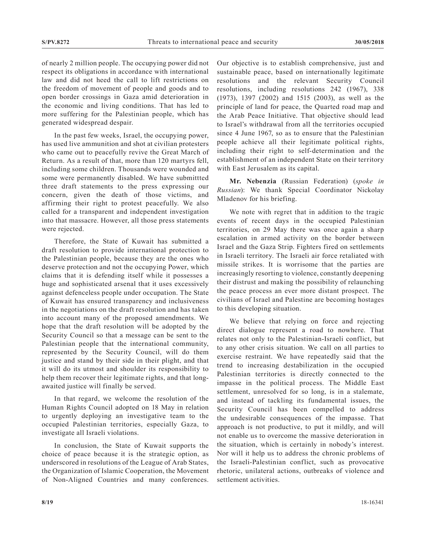of nearly 2 million people. The occupying power did not respect its obligations in accordance with international law and did not heed the call to lift restrictions on the freedom of movement of people and goods and to open border crossings in Gaza amid deterioration in the economic and living conditions. That has led to more suffering for the Palestinian people, which has generated widespread despair.

In the past few weeks, Israel, the occupying power, has used live ammunition and shot at civilian protesters who came out to peacefully revive the Great March of Return. As a result of that, more than 120 martyrs fell, including some children. Thousands were wounded and some were permanently disabled. We have submittted three draft statements to the press expressing our concern, given the death of those victims, and affirming their right to protest peacefully. We also called for a transparent and independent investigation into that massacre. However, all those press statements were rejected.

Therefore, the State of Kuwait has submitted a draft resolution to provide international protection to the Palestinian people, because they are the ones who deserve protection and not the occupying Power, which claims that it is defending itself while it possesses a huge and sophisticated arsenal that it uses excessively against defenceless people under occupation. The State of Kuwait has ensured transparency and inclusiveness in the negotiations on the draft resolution and has taken into account many of the proposed amendments. We hope that the draft resolution will be adopted by the Security Council so that a message can be sent to the Palestinian people that the international community, represented by the Security Council, will do them justice and stand by their side in their plight, and that it will do its utmost and shoulder its responsibility to help them recover their legitimate rights, and that longawaited justice will finally be served.

In that regard, we welcome the resolution of the Human Rights Council adopted on 18 May in relation to urgently deploying an investigative team to the occupied Palestinian territories, especially Gaza, to investigate all Israeli violations.

In conclusion, the State of Kuwait supports the choice of peace because it is the strategic option, as underscored in resolutions of the League of Arab States, the Organization of Islamic Cooperation, the Movement of Non-Aligned Countries and many conferences. Our objective is to establish comprehensive, just and sustainable peace, based on internationally legitimate resolutions and the relevant Security Council resolutions, including resolutions 242 (1967), 338 (1973), 1397 (2002) and 1515 (2003), as well as the principle of land for peace, the Quarted road map and the Arab Peace Initiative. That objective should lead to Israel's withdrawal from all the territories occupied since 4 June 1967, so as to ensure that the Palestinian people achieve all their legitimate political rights, including their right to self-determination and the establishment of an independent State on their territory with East Jerusalem as its capital.

**Mr. Nebenzia** (Russian Federation) (*spoke in Russian*): We thank Special Coordinator Nickolay Mladenov for his briefing.

We note with regret that in addition to the tragic events of recent days in the occupied Palestinian territories, on 29 May there was once again a sharp escalation in armed activity on the border between Israel and the Gaza Strip. Fighters fired on settlements in Israeli territory. The Israeli air force retaliated with missile strikes. It is worrisome that the parties are increasingly resorting to violence, constantly deepening their distrust and making the possibility of relaunching the peace process an ever more distant prospect. The civilians of Israel and Palestine are becoming hostages to this developing situation.

We believe that relying on force and rejecting direct dialogue represent a road to nowhere. That relates not only to the Palestinian-Israeli conflict, but to any other crisis situation. We call on all parties to exercise restraint. We have repeatedly said that the trend to increasing destabilization in the occupied Palestinian territories is directly connected to the impasse in the political process. The Middle East settlement, unresolved for so long, is in a stalemate, and instead of tackling its fundamental issues, the Security Council has been compelled to address the undesirable consequences of the impasse. That approach is not productive, to put it mildly, and will not enable us to overcome the massive deterioration in the situation, which is certainly in nobody's interest. Nor will it help us to address the chronic problems of the Israeli-Palestinian conflict, such as provocative rhetoric, unilateral actions, outbreaks of violence and settlement activities.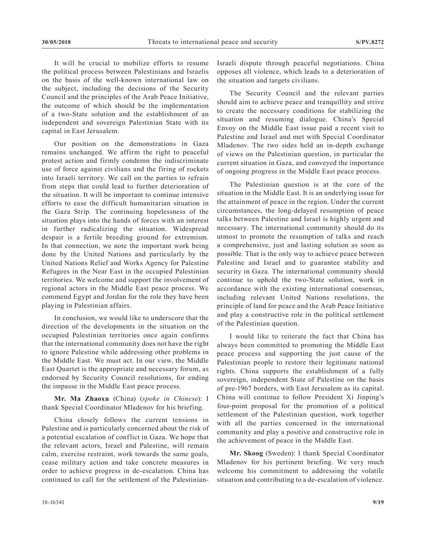It will be crucial to mobilize efforts to resume the political process between Palestinians and Israelis on the basis of the well-known international law on the subject, including the decisions of the Security Council and the principles of the Arab Peace Initiative, the outcome of which should be the implementation of a two-State solution and the establishment of an independent and sovereign Palestinian State with its capital in East Jerusalem.

Our position on the demonstrations in Gaza remains unchanged. We affirm the right to peaceful protest action and firmly condemn the indiscriminate use of force against civilians and the firing of rockets into Israeli territory. We call on the parties to refrain from steps that could lead to further deterioration of the situation. It will be important to continue intensive efforts to ease the difficult humanitarian situation in the Gaza Strip. The continuing hopelessness of the situation plays into the hands of forces with an interest in further radicalizing the situation. Widespread despair is a fertile breeding ground for extremism. In that connection, we note the important work being done by the United Nations and particularly by the United Nations Relief and Works Agency for Palestine Refugees in the Near East in the occupied Palestinian territories. We welcome and support the involvement of regional actors in the Middle East peace process. We commend Egypt and Jordan for the role they have been playing in Palestinian affairs.

In conclusion, we would like to underscore that the direction of the developments in the situation on the occupied Palestinian territories once again confirms that the international community does not have the right to ignore Palestine while addressing other problems in the Middle East. We must act. In our view, the Middle East Quartet is the appropriate and necessary forum, as endorsed by Security Council resolutions, for ending the impasse in the Middle East peace process.

**Mr. Ma Zhaoxu** (China) (*spoke in Chinese*): I thank Special Coordinator Mladenov for his briefing.

China closely follows the current tensions in Palestine and is particularly concerned about the risk of a potential escalation of conflict in Gaza. We hope that the relevant actors, Israel and Palestine, will remain calm, exercise restraint, work towards the same goals, cease military action and take concrete measures in order to achieve progress in de-escalation. China has continued to call for the settlement of the PalestinianIsraeli dispute through peaceful negotiations. China opposes all violence, which leads to a deterioration of the situation and targets civilians.

The Security Council and the relevant parties should aim to achieve peace and tranquillity and strive to create the necessary conditions for stabilizing the situation and resuming dialogue. China's Special Envoy on the Middle East issue paid a recent visit to Palestine and Israel and met with Special Coordinator Mladenov. The two sides held an in-depth exchange of views on the Palestinian question, in particular the current situation in Gaza, and conveyed the importance of ongoing progress in the Middle East peace process.

The Palestinian question is at the core of the situation in the Middle East. It is an underlying issue for the attainment of peace in the region. Under the current circumstances, the long-delayed resumption of peace talks between Palestine and Israel is highly urgent and necessary. The international community should do its utmost to promote the resumption of talks and reach a comprehensive, just and lasting solution as soon as possible. That is the only way to achieve peace between Palestine and Israel and to guarantee stability and security in Gaza. The international community should continue to uphold the two-State solution, work in accordance with the existing international consensus, including relevant United Nations resolutions, the principle of land for peace and the Arab Peace Initiative and play a constructive role in the political settlement of the Palestinian question.

I would like to reiterate the fact that China has always been committed to promoting the Middle East peace process and supporting the just cause of the Palestinian people to restore their legitimate national rights. China supports the establishment of a fully sovereign, independent State of Palestine on the basis of pre-1967 borders, with East Jerusalem as its capital. China will continue to follow President Xi Jinping's four-point proposal for the promotion of a political settlement of the Palestinian question, work together with all the parties concerned in the international community and play a positive and constructive role in the achievement of peace in the Middle East.

**Mr. Skoog** (Sweden): I thank Special Coordinator Mladenov for his pertinent briefing. We very much welcome his commitment to addressing the volatile situation and contributing to a de-escalation of violence.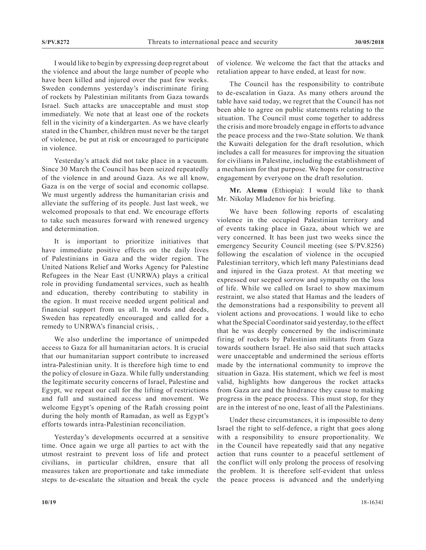I would like to begin by expressing deep regret about the violence and about the large number of people who have been killed and injured over the past few weeks. Sweden condemns yesterday's indiscriminate firing of rockets by Palestinian militants from Gaza towards Israel. Such attacks are unacceptable and must stop immediately. We note that at least one of the rockets fell in the vicinity of a kindergarten. As we have clearly stated in the Chamber, children must never be the target of violence, be put at risk or encouraged to participate in violence.

Yesterday's attack did not take place in a vacuum. Since 30 March the Council has been seized repeatedly of the violence in and around Gaza. As we all know, Gaza is on the verge of social and economic collapse. We must urgently address the humanitarian crisis and alleviate the suffering of its people. Just last week, we welcomed proposals to that end. We encourage efforts to take such measures forward with renewed urgency and determination.

It is important to prioritize initiatives that have immediate positive effects on the daily lives of Palestinians in Gaza and the wider region. The United Nations Relief and Works Agency for Palestine Refugees in the Near East (UNRWA) plays a critical role in providing fundamental services, such as health and education, thereby contributing to stability in the egion. It must receive needed urgent political and financial support from us all. In words and deeds, Sweden has repeatedly encouraged and called for a remedy to UNRWA's financial crisis, .

We also underline the importance of unimpeded access to Gaza for all humanitarian actors. It is crucial that our humanitarian support contribute to increased intra-Palestinian unity. It is therefore high time to end the policy of closure in Gaza. While fully understanding the legitimate security concerns of Israel, Palestine and Egypt, we repeat our call for the lifting of restrictions and full and sustained access and movement. We welcome Egypt's opening of the Rafah crossing point during the holy month of Ramadan, as well as Egypt's efforts towards intra-Palestinian reconciliation.

Yesterday's developments occurred at a sensitive time. Once again we urge all parties to act with the utmost restraint to prevent loss of life and protect civilians, in particular children, ensure that all measures taken are proportionate and take immediate steps to de-escalate the situation and break the cycle of violence. We welcome the fact that the attacks and retaliation appear to have ended, at least for now.

The Council has the responsibility to contribute to de-escalation in Gaza. As many others around the table have said today, we regret that the Council has not been able to agree on public statements relating to the situation. The Council must come together to address the crisis and more broadely engage in efforts to advance the peace process and the two-State solution. We thank the Kuwaiti delegation for the draft resolution, which includes a call for measures for improving the situation for civilians in Palestine, including the establishment of a mechanism for that purpose. We hope for constructive engagement by everyone on the draft resolution.

**Mr. Alemu** (Ethiopia): I would like to thank Mr. Nikolay Mladenov for his briefing.

We have been following reports of escalating violence in the occupied Palestinian territory and of events taking place in Gaza, about which we are very concerned. It has been just two weeks since the emergency Security Council meeting (see S/PV.8256) following the escalation of violence in the occupied Palestinian territory, which left many Palestinians dead and injured in the Gaza protest. At that meeting we expressed our seeped sorrow and sympathy on the loss of life. While we called on Israel to show maximum restraint, we also stated that Hamas and the leaders of the demonstrations had a responsibility to prevent all violent actions and provocations. I would like to echo what the Special Coordinator said yesterday, to the effect that he was deeply concerned by the indiscriminate firing of rockets by Palestinian militants from Gaza towards southern Israel. He also said that such attacks were unacceptable and undermined the serious efforts made by the international community to improve the situation in Gaza. His statement, which we feel is most valid, highlights how dangerous the rocket attacks from Gaza are and the hindrance they cause to making progress in the peace process. This must stop, for they are in the interest of no one, least of all the Palestinians.

Under these circumstances, it is impossible to deny Israel the right to self-defence, a right that goes along with a responsibility to ensure proportionality. We in the Council have repeatedly said that any negative action that runs counter to a peaceful settlement of the conflict will only prolong the process of resolving the problem. It is therefore self-evident that unless the peace process is advanced and the underlying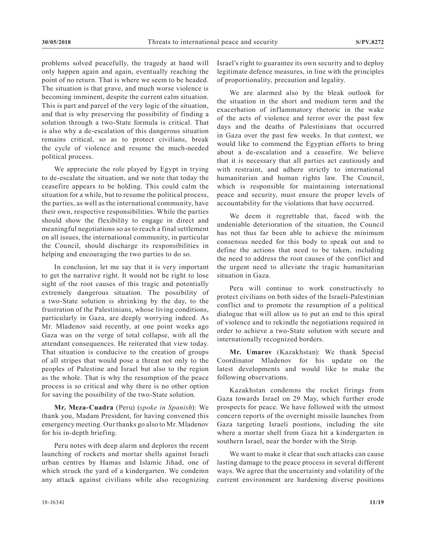problems solved peacefully, the tragedy at hand will only happen again and again, eventually reaching the point of no return. That is where we seem to be headed. The situation is that grave, and much worse violence is becoming imminent, despite the current calm situation. This is part and parcel of the very logic of the situation, and that is why preserving the possibility of finding a solution through a two-State formula is critical. That is also why a de-escalation of this dangerous situation remains critical, so as to protect civilians, break the cycle of violence and resume the much-needed political process.

We appreciate the role played by Egypt in trying to de-escalate the situation, and we note that today the ceasefire appears to be holding. This could calm the situation for a while, but to resume the political process, the parties, as well as the international community, have their own, respective responsibilities. While the parties should show the flexibility to engage in direct and meaningful negotiations so as to reach a final settlement on all issues, the international community, in particular the Council, should discharge its responsibilities in helping and encouraging the two parties to do so.

In conclusion, let me say that it is very important to get the narrative right. It would not be right to lose sight of the root causes of this tragic and potentially extremely dangerous situation. The possibility of a two-State solution is shrinking by the day, to the frustration of the Palestinians, whose living conditions, particularly in Gaza, are deeply worrying indeed. As Mr. Mladenov said recently, at one point weeks ago Gaza was on the verge of total collapse, with all the attendant consequences. He reiterated that view today. That situation is conducive to the creation of groups of all stripes that would pose a threat not only to the peoples of Palestine and Israel but also to the region as the whole. That is why the resumption of the peace process is so critical and why there is no other option for saving the possibility of the two-State solution.

**Mr. Meza-Cuadra** (Peru) (*spoke in Spanish*): We thank you, Madam President, for having convened this emergency meeting. Our thanks go also to Mr. Mladenov for his in-depth briefing.

Peru notes with deep alarm and deplores the recent launching of rockets and mortar shells against Israeli urban centres by Hamas and Islamic Jihad, one of which struck the yard of a kindergarten. We condemn any attack against civilians while also recognizing

Israel's right to guarantee its own security and to deploy legitimate defence measures, in line with the principles of proportionality, precaution and legality.

We are alarmed also by the bleak outlook for the situation in the short and medium term and the exacerbation of inflammatory rhetoric in the wake of the acts of violence and terror over the past few days and the deaths of Palestinians that occurred in Gaza over the past few weeks. In that context, we would like to commend the Egyptian efforts to bring about a de-escalation and a ceasefire. We believe that it is necessary that all parties act cautiously and with restraint, and adhere strictly to international humanitarian and human rights law. The Council, which is responsible for maintaining international peace and security, must ensure the proper levels of accountability for the violations that have occurred.

We deem it regrettable that, faced with the undeniable deterioration of the situation, the Council has not thus far been able to achieve the minimum consensus needed for this body to speak out and to define the actions that need to be taken, including the need to address the root causes of the conflict and the urgent need to alleviate the tragic humanitarian situation in Gaza.

Peru will continue to work constructively to protect civilians on both sides of the Israeli-Palestinian conflict and to promote the resumption of a political dialogue that will allow us to put an end to this spiral of violence and to rekindle the negotiations required in order to achieve a two-State solution with secure and internationally recognized borders.

**Mr. Umarov** (Kazakhstan): We thank Special Coordinator Mladenov for his update on the latest developments and would like to make the following observations.

Kazakhstan condemns the rocket firings from Gaza towards Israel on 29 May, which further erode prospects for peace. We have followed with the utmost concern reports of the overnight missile launches from Gaza targeting Israeli positions, including the site where a mortar shell from Gaza hit a kindergarten in southern Israel, near the border with the Strip.

We want to make it clear that such attacks can cause lasting damage to the peace process in several different ways. We agree that the uncertainty and volatility of the current environment are hardening diverse positions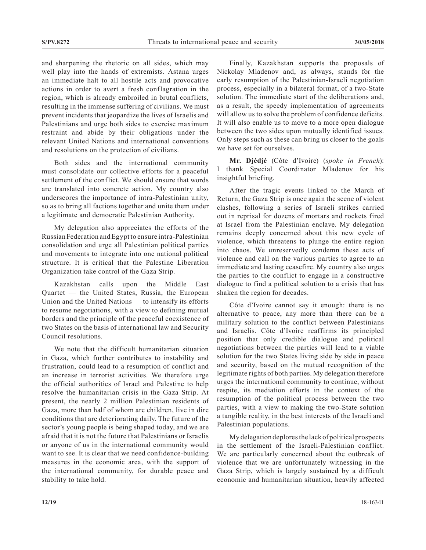and sharpening the rhetoric on all sides, which may well play into the hands of extremists. Astana urges an immediate halt to all hostile acts and provocative actions in order to avert a fresh conflagration in the region, which is already embroiled in brutal conflicts, resulting in the immense suffering of civilians. We must prevent incidents that jeopardize the lives of Israelis and Palestinians and urge both sides to exercise maximum restraint and abide by their obligations under the relevant United Nations and international conventions and resolutions on the protection of civilians.

Both sides and the international community must consolidate our collective efforts for a peaceful settlement of the conflict. We should ensure that words are translated into concrete action. My country also underscores the importance of intra-Palestinian unity, so as to bring all factions together and unite them under a legitimate and democratic Palestinian Authority.

My delegation also appreciates the efforts of the Russian Federation and Egypt to ensure intra-Palestinian consolidation and urge all Palestinian political parties and movements to integrate into one national political structure. It is critical that the Palestine Liberation Organization take control of the Gaza Strip.

Kazakhstan calls upon the Middle East Quartet — the United States, Russia, the European Union and the United Nations — to intensify its efforts to resume negotiations, with a view to defining mutual borders and the principle of the peaceful coexistence of two States on the basis of international law and Security Council resolutions.

We note that the difficult humanitarian situation in Gaza, which further contributes to instability and frustration, could lead to a resumption of conflict and an increase in terrorist activities. We therefore urge the official authorities of Israel and Palestine to help resolve the humanitarian crisis in the Gaza Strip. At present, the nearly 2 million Palestinian residents of Gaza, more than half of whom are children, live in dire conditions that are deteriorating daily. The future of the sector's young people is being shaped today, and we are afraid that it is not the future that Palestinians or Israelis or anyone of us in the international community would want to see. It is clear that we need confidence-building measures in the economic area, with the support of the international community, for durable peace and stability to take hold.

Finally, Kazakhstan supports the proposals of Nickolay Mladenov and, as always, stands for the early resumption of the Palestinian-Israeli negotiation process, especially in a bilateral format, of a two-State solution. The immediate start of the deliberations and, as a result, the speedy implementation of agreements will allow us to solve the problem of confidence deficits. It will also enable us to move to a more open dialogue between the two sides upon mutually identified issues. Only steps such as these can bring us closer to the goals we have set for ourselves.

**Mr. Djédjé** (Côte d'Ivoire) (*spoke in French*): I thank Special Coordinator Mladenov for his insightful briefing.

After the tragic events linked to the March of Return, the Gaza Strip is once again the scene of violent clashes, following a series of Israeli strikes carried out in reprisal for dozens of mortars and rockets fired at Israel from the Palestinian enclave. My delegation remains deeply concerned about this new cycle of violence, which threatens to plunge the entire region into chaos. We unreservedly condemn these acts of violence and call on the various parties to agree to an immediate and lasting ceasefire. My country also urges the parties to the conflict to engage in a constructive dialogue to find a political solution to a crisis that has shaken the region for decades.

Côte d'Ivoire cannot say it enough: there is no alternative to peace, any more than there can be a military solution to the conflict between Palestinians and Israelis. Côte d'Ivoire reaffirms its principled position that only credible dialogue and political negotiations between the parties will lead to a viable solution for the two States living side by side in peace and security, based on the mutual recognition of the legitimate rights of both parties. My delegation therefore urges the international community to continue, without respite, its mediation efforts in the context of the resumption of the political process between the two parties, with a view to making the two-State solution a tangible reality, in the best interests of the Israeli and Palestinian populations.

My delegation deplores the lack of political prospects in the settlement of the Israeli-Palestinian conflict. We are particularly concerned about the outbreak of violence that we are unfortunately witnessing in the Gaza Strip, which is largely sustained by a difficult economic and humanitarian situation, heavily affected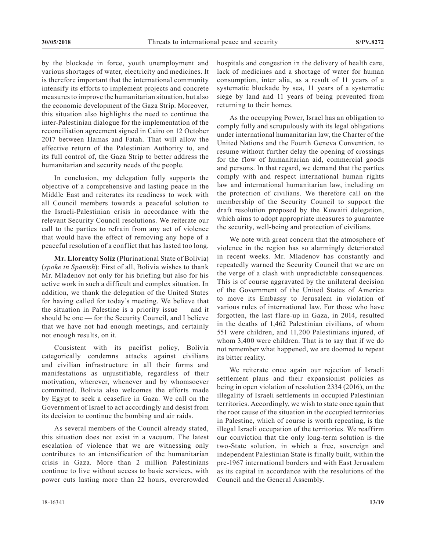by the blockade in force, youth unemployment and various shortages of water, electricity and medicines. It is therefore important that the international community intensify its efforts to implement projects and concrete measures to improve the humanitarian situation, but also the economic development of the Gaza Strip. Moreover, this situation also highlights the need to continue the inter-Palestinian dialogue for the implementation of the reconciliation agreement signed in Cairo on 12 October 2017 between Hamas and Fatah. That will allow the effective return of the Palestinian Authority to, and its full control of, the Gaza Strip to better address the humanitarian and security needs of the people.

In conclusion, my delegation fully supports the objective of a comprehensive and lasting peace in the Middle East and reiterates its readiness to work with all Council members towards a peaceful solution to the Israeli-Palestinian crisis in accordance with the relevant Security Council resolutions. We reiterate our call to the parties to refrain from any act of violence that would have the effect of removing any hope of a peaceful resolution of a conflict that has lasted too long.

**Mr. Llorentty Solíz** (Plurinational State of Bolivia) (*spoke in Spanish*): First of all, Bolivia wishes to thank Mr. Mladenov not only for his briefing but also for his active work in such a difficult and complex situation. In addition, we thank the delegation of the United States for having called for today's meeting. We believe that the situation in Palestine is a priority issue — and it should be one — for the Security Council, and I believe that we have not had enough meetings, and certainly not enough results, on it.

Consistent with its pacifist policy, Bolivia categorically condemns attacks against civilians and civilian infrastructure in all their forms and manifestations as unjustifiable, regardless of their motivation, wherever, whenever and by whomsoever committed. Bolivia also welcomes the efforts made by Egypt to seek a ceasefire in Gaza. We call on the Government of Israel to act accordingly and desist from its decision to continue the bombing and air raids.

As several members of the Council already stated, this situation does not exist in a vacuum. The latest escalation of violence that we are witnessing only contributes to an intensification of the humanitarian crisis in Gaza. More than 2 million Palestinians continue to live without access to basic services, with power cuts lasting more than 22 hours, overcrowded hospitals and congestion in the delivery of health care, lack of medicines and a shortage of water for human consumption, inter alia, as a result of 11 years of a systematic blockade by sea, 11 years of a systematic siege by land and 11 years of being prevented from returning to their homes.

As the occupying Power, Israel has an obligation to comply fully and scrupulously with its legal obligations under international humanitarian law, the Charter of the United Nations and the Fourth Geneva Convention, to resume without further delay the opening of crossings for the flow of humanitarian aid, commercial goods and persons. In that regard, we demand that the parties comply with and respect international human rights law and international humanitarian law, including on the protection of civilians. We therefore call on the membership of the Security Council to support the draft resolution proposed by the Kuwaiti delegation, which aims to adopt appropriate measures to guarantee the security, well-being and protection of civilians.

We note with great concern that the atmosphere of violence in the region has so alarmingly deteriorated in recent weeks. Mr. Mladenov has constantly and repeatedly warned the Security Council that we are on the verge of a clash with unpredictable consequences. This is of course aggravated by the unilateral decision of the Government of the United States of America to move its Embassy to Jerusalem in violation of various rules of international law. For those who have forgotten, the last flare-up in Gaza, in 2014, resulted in the deaths of 1,462 Palestinian civilians, of whom 551 were children, and 11,200 Palestinians injured, of whom 3,400 were children. That is to say that if we do not remember what happened, we are doomed to repeat its bitter reality.

We reiterate once again our rejection of Israeli settlement plans and their expansionist policies as being in open violation of resolution 2334 (2016), on the illegality of Israeli settlements in occupied Palestinian territories. Accordingly, we wish to state once again that the root cause of the situation in the occupied territories in Palestine, which of course is worth repeating, is the illegal Israeli occupation of the territories. We reaffirm our conviction that the only long-term solution is the two-State solution, in which a free, sovereign and independent Palestinian State is finally built, within the pre-1967 international borders and with East Jerusalem as its capital in accordance with the resolutions of the Council and the General Assembly.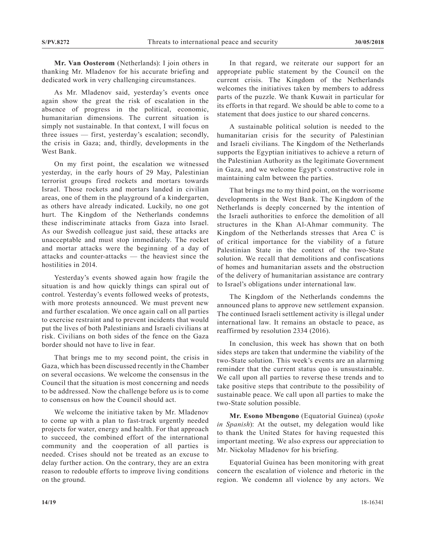**Mr. Van Oosterom** (Netherlands): I join others in thanking Mr. Mladenov for his accurate briefing and dedicated work in very challenging circumstances.

As Mr. Mladenov said, yesterday's events once again show the great the risk of escalation in the absence of progress in the political, economic, humanitarian dimensions. The current situation is simply not sustainable. In that context, I will focus on three issues — first, yesterday's escalation; secondly, the crisis in Gaza; and, thirdly, developments in the West Bank.

On my first point, the escalation we witnessed yesterday, in the early hours of 29 May, Palestinian terrorist groups fired rockets and mortars towards Israel. Those rockets and mortars landed in civilian areas, one of them in the playground of a kindergarten, as others have already indicated. Luckily, no one got hurt. The Kingdom of the Netherlands condemns these indiscriminate attacks from Gaza into Israel. As our Swedish colleague just said, these attacks are unacceptable and must stop immediately. The rocket and mortar attacks were the beginning of a day of attacks and counter-attacks — the heaviest since the hostilities in 2014.

Yesterday's events showed again how fragile the situation is and how quickly things can spiral out of control. Yesterday's events followed weeks of protests, with more protests announced. We must prevent new and further escalation. We once again call on all parties to exercise restraint and to prevent incidents that would put the lives of both Palestinians and Israeli civilians at risk. Civilians on both sides of the fence on the Gaza border should not have to live in fear.

That brings me to my second point, the crisis in Gaza, which has been discussed recently in the Chamber on several occasions. We welcome the consensus in the Council that the situation is most concerning and needs to be addressed. Now the challenge before us is to come to consensus on how the Council should act.

We welcome the initiative taken by Mr. Mladenov to come up with a plan to fast-track urgently needed projects for water, energy and health. For that approach to succeed, the combined effort of the international community and the cooperation of all parties is needed. Crises should not be treated as an excuse to delay further action. On the contrary, they are an extra reason to redouble efforts to improve living conditions on the ground.

In that regard, we reiterate our support for an appropriate public statement by the Council on the current crisis. The Kingdom of the Netherlands welcomes the initiatives taken by members to address parts of the puzzle. We thank Kuwait in particular for its efforts in that regard. We should be able to come to a statement that does justice to our shared concerns.

A sustainable political solution is needed to the humanitarian crisis for the security of Palestinian and Israeli civilians. The Kingdom of the Netherlands supports the Egyptian initiatives to achieve a return of the Palestinian Authority as the legitimate Government in Gaza, and we welcome Egypt's constructive role in maintaining calm between the parties.

That brings me to my third point, on the worrisome developments in the West Bank. The Kingdom of the Netherlands is deeply concerned by the intention of the Israeli authorities to enforce the demolition of all structures in the Khan Al-Ahmar community. The Kingdom of the Netherlands stresses that Area C is of critical importance for the viability of a future Palestinian State in the context of the two-State solution. We recall that demolitions and confiscations of homes and humanitarian assets and the obstruction of the delivery of humanitarian assistance are contrary to Israel's obligations under international law.

The Kingdom of the Netherlands condemns the announced plans to approve new settlement expansion. The continued Israeli settlement activity is illegal under international law. It remains an obstacle to peace, as reaffirmed by resolution 2334 (2016).

In conclusion, this week has shown that on both sides steps are taken that undermine the viability of the two-State solution. This week's events are an alarming reminder that the current status quo is unsustainable. We call upon all parties to reverse these trends and to take positive steps that contribute to the possibility of sustainable peace. We call upon all parties to make the two-State solution possible.

**Mr. Esono Mbengono** (Equatorial Guinea) (*spoke in Spanish*): At the outset, my delegation would like to thank the United States for having requested this important meeting. We also express our appreciation to Mr. Nickolay Mladenov for his briefing.

Equatorial Guinea has been monitoring with great concern the escalation of violence and rhetoric in the region. We condemn all violence by any actors. We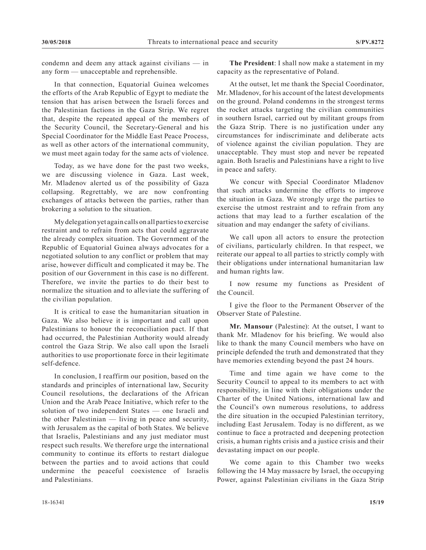condemn and deem any attack against civilians — in any form — unacceptable and reprehensible.

In that connection, Equatorial Guinea welcomes the efforts of the Arab Republic of Egypt to mediate the tension that has arisen between the Israeli forces and the Palestinian factions in the Gaza Strip. We regret that, despite the repeated appeal of the members of the Security Council, the Secretary-General and his Special Coordinator for the Middle East Peace Process, as well as other actors of the international community, we must meet again today for the same acts of violence.

Today, as we have done for the past two weeks, we are discussing violence in Gaza. Last week, Mr. Mladenov alerted us of the possibility of Gaza collapsing. Regrettably, we are now confronting exchanges of attacks between the parties, rather than brokering a solution to the situation.

My delegation yet again calls on all parties to exercise restraint and to refrain from acts that could aggravate the already complex situation. The Government of the Republic of Equatorial Guinea always advocates for a negotiated solution to any conflict or problem that may arise, however difficult and complicated it may be. The position of our Government in this case is no different. Therefore, we invite the parties to do their best to normalize the situation and to alleviate the suffering of the civilian population.

It is critical to ease the humanitarian situation in Gaza. We also believe it is important and call upon Palestinians to honour the reconciliation pact. If that had occurred, the Palestinian Authority would already control the Gaza Strip. We also call upon the Israeli authorities to use proportionate force in their legitimate self-defence.

In conclusion, I reaffirm our position, based on the standards and principles of international law, Security Council resolutions, the declarations of the African Union and the Arab Peace Initiative, which refer to the solution of two independent States — one Israeli and the other Palestinian — living in peace and security, with Jerusalem as the capital of both States. We believe that Israelis, Palestinians and any just mediator must respect such results. We therefore urge the international community to continue its efforts to restart dialogue between the parties and to avoid actions that could undermine the peaceful coexistence of Israelis and Palestinians.

**The President**: I shall now make a statement in my capacity as the representative of Poland.

At the outset, let me thank the Special Coordinator, Mr. Mladenov, for his account of the latest developments on the ground. Poland condemns in the strongest terms the rocket attacks targeting the civilian communities in southern Israel, carried out by militant groups from the Gaza Strip. There is no justification under any circumstances for indiscriminate and deliberate acts of violence against the civilian population. They are unacceptable. They must stop and never be repeated again. Both Israelis and Palestinians have a right to live in peace and safety.

We concur with Special Coordinator Mladenov that such attacks undermine the efforts to improve the situation in Gaza. We strongly urge the parties to exercise the utmost restraint and to refrain from any actions that may lead to a further escalation of the situation and may endanger the safety of civilians.

We call upon all actors to ensure the protection of civilians, particularly children. In that respect, we reiterate our appeal to all parties to strictly comply with their obligations under international humanitarian law and human rights law.

I now resume my functions as President of the Council.

I give the floor to the Permanent Observer of the Observer State of Palestine.

**Mr. Mansour** (Palestine): At the outset, I want to thank Mr. Mladenov for his briefing. We would also like to thank the many Council members who have on principle defended the truth and demonstrated that they have memories extending beyond the past 24 hours.

Time and time again we have come to the Security Council to appeal to its members to act with responsibility, in line with their obligations under the Charter of the United Nations, international law and the Council's own numerous resolutions, to address the dire situation in the occupied Palestinian territory, including East Jerusalem. Today is no different, as we continue to face a protracted and deepening protection crisis, a human rights crisis and a justice crisis and their devastating impact on our people.

We come again to this Chamber two weeks following the 14 May massacre by Israel, the occupying Power, against Palestinian civilians in the Gaza Strip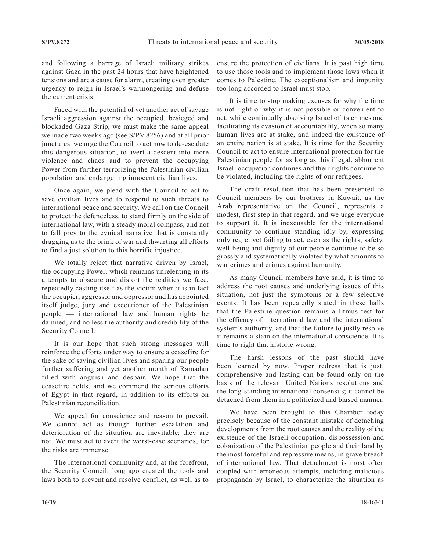and following a barrage of Israeli military strikes against Gaza in the past 24 hours that have heightened tensions and are a cause for alarm, creating even greater urgency to reign in Israel's warmongering and defuse the current crisis.

Faced with the potential of yet another act of savage Israeli aggression against the occupied, besieged and blockaded Gaza Strip, we must make the same appeal we made two weeks ago (see S/PV.8256) and at all prior junctures: we urge the Council to act now to de-escalate this dangerous situation, to avert a descent into more violence and chaos and to prevent the occupying Power from further terrorizing the Palestinian civilian population and endangering innocent civilian lives.

Once again, we plead with the Council to act to save civilian lives and to respond to such threats to international peace and security. We call on the Council to protect the defenceless, to stand firmly on the side of international law, with a steady moral compass, and not to fall prey to the cynical narrative that is constantly dragging us to the brink of war and thwarting all efforts to find a just solution to this horrific injustice.

We totally reject that narrative driven by Israel, the occupying Power, which remains unrelenting in its attempts to obscure and distort the realities we face, repeatedly casting itself as the victim when it is in fact the occupier, aggressor and oppressor and has appointed itself judge, jury and executioner of the Palestinian people — international law and human rights be damned, and no less the authority and credibility of the Security Council.

It is our hope that such strong messages will reinforce the efforts under way to ensure a ceasefire for the sake of saving civilian lives and sparing our people further suffering and yet another month of Ramadan filled with anguish and despair. We hope that the ceasefire holds, and we commend the serious efforts of Egypt in that regard, in addition to its efforts on Palestinian reconciliation.

We appeal for conscience and reason to prevail. We cannot act as though further escalation and deterioration of the situation are inevitable; they are not. We must act to avert the worst-case scenarios, for the risks are immense.

The international community and, at the forefront, the Security Council, long ago created the tools and laws both to prevent and resolve conflict, as well as to ensure the protection of civilians. It is past high time to use those tools and to implement those laws when it comes to Palestine. The exceptionalism and impunity too long accorded to Israel must stop.

It is time to stop making excuses for why the time is not right or why it is not possible or convenient to act, while continually absolving Israel of its crimes and facilitating its evasion of accountability, when so many human lives are at stake, and indeed the existence of an entire nation is at stake. It is time for the Security Council to act to ensure international protection for the Palestinian people for as long as this illegal, abhorrent Israeli occupation continues and their rights continue to be violated, including the rights of our refugees.

The draft resolution that has been presented to Council members by our brothers in Kuwait, as the Arab representative on the Council, represents a modest, first step in that regard, and we urge everyone to support it. It is inexcusable for the international community to continue standing idly by, expressing only regret yet failing to act, even as the rights, safety, well-being and dignity of our people continue to be so grossly and systematically violated by what amounts to war crimes and crimes against humanity.

As many Council members have said, it is time to address the root causes and underlying issues of this situation, not just the symptoms or a few selective events. It has been repeatedly stated in these halls that the Palestine question remains a litmus test for the efficacy of international law and the international system's authority, and that the failure to justly resolve it remains a stain on the international conscience. It is time to right that historic wrong.

The harsh lessons of the past should have been learned by now. Proper redress that is just, comprehensive and lasting can be found only on the basis of the relevant United Nations resolutions and the long-standing international consensus; it cannot be detached from them in a politicized and biased manner.

We have been brought to this Chamber today precisely because of the constant mistake of detaching developments from the root causes and the reality of the existence of the Israeli occupation, dispossession and colonization of the Palestinian people and their land by the most forceful and repressive means, in grave breach of international law. That detachment is most often coupled with erroneous attempts, including malicious propaganda by Israel, to characterize the situation as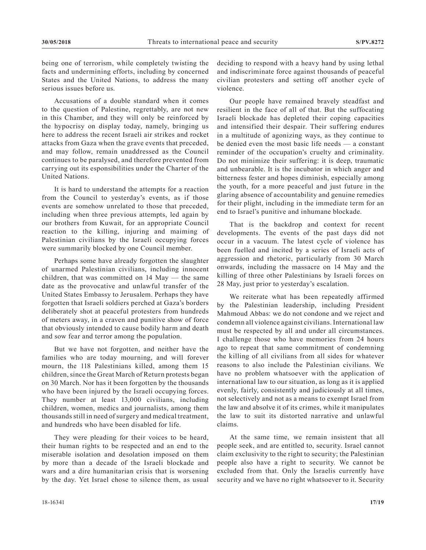being one of terrorism, while completely twisting the facts and undermining efforts, including by concerned States and the United Nations, to address the many serious issues before us.

Accusations of a double standard when it comes to the question of Palestine, regrettably, are not new in this Chamber, and they will only be reinforced by the hypocrisy on display today, namely, bringing us here to address the recent Israeli air strikes and rocket attacks from Gaza when the grave events that preceded, and may follow, remain unaddressed as the Council continues to be paralysed, and therefore prevented from carrying out its esponsibilities under the Charter of the United Nations.

It is hard to understand the attempts for a reaction from the Council to yesterday's events, as if those events are somehow unrelated to those that preceded, including when three previous attempts, led again by our brothers from Kuwait, for an appropriate Council reaction to the killing, injuring and maiming of Palestinian civilians by the Israeli occupying forces were summarily blocked by one Council member.

Perhaps some have already forgotten the slaughter of unarmed Palestinian civilians, including innocent children, that was committed on 14 May — the same date as the provocative and unlawful transfer of the United States Embassy to Jerusalem. Perhaps they have forgotten that Israeli soldiers perched at Gaza's borders deliberately shot at peaceful protesters from hundreds of meters away, in a craven and punitive show of force that obviously intended to cause bodily harm and death and sow fear and terror among the population.

But we have not forgotten, and neither have the families who are today mourning, and will forever mourn, the 118 Palestinians killed, among them 15 children, since the Great March of Return protests began on 30 March. Nor has it been forgotten by the thousands who have been injured by the Israeli occupying forces. They number at least 13,000 civilians, including children, women, medics and journalists, among them thousands still in need of surgery and medical treatment, and hundreds who have been disabled for life.

They were pleading for their voices to be heard, their human rights to be respected and an end to the miserable isolation and desolation imposed on them by more than a decade of the Israeli blockade and wars and a dire humanitarian crisis that is worsening by the day. Yet Israel chose to silence them, as usual

deciding to respond with a heavy hand by using lethal and indiscriminate force against thousands of peaceful civilian protesters and setting off another cycle of violence.

Our people have remained bravely steadfast and resilient in the face of all of that. But the suffocating Israeli blockade has depleted their coping capacities and intensified their despair. Their suffering endures in a multitude of agonizing ways, as they continue to be denied even the most basic life needs — a constant reminder of the occupation's cruelty and criminality. Do not minimize their suffering: it is deep, traumatic and unbearable. It is the incubator in which anger and bitterness fester and hopes diminish, especially among the youth, for a more peaceful and just future in the glaring absence of accountability and genuine remedies for their plight, including in the immediate term for an end to Israel's punitive and inhumane blockade.

That is the backdrop and context for recent developments. The events of the past days did not occur in a vacuum. The latest cycle of violence has been fuelled and incited by a series of Israeli acts of aggression and rhetoric, particularly from 30 March onwards, including the massacre on 14 May and the killing of three other Palestinians by Israeli forces on 28 May, just prior to yesterday's escalation.

We reiterate what has been repeatedly affirmed by the Palestinian leadership, including President Mahmoud Abbas: we do not condone and we reject and condemn all violence against civilians. International law must be respected by all and under all circumstances. I challenge those who have memories from 24 hours ago to repeat that same commitment of condemning the killing of all civilians from all sides for whatever reasons to also include the Palestinian civilians. We have no problem whatsoever with the application of international law to our situation, as long as it is applied evenly, fairly, consistently and judiciously at all times, not selectively and not as a means to exempt Israel from the law and absolve it of its crimes, while it manipulates the law to suit its distorted narrative and unlawful claims.

At the same time, we remain insistent that all people seek, and are entitled to, security. Israel cannot claim exclusivity to the right to security; the Palestinian people also have a right to security. We cannot be excluded from that. Only the Israelis currently have security and we have no right whatsoever to it. Security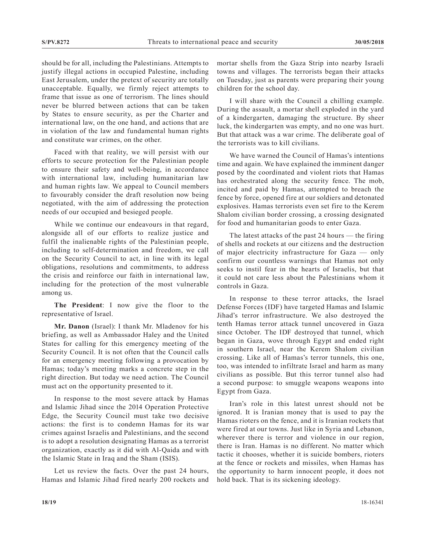should be for all, including the Palestinians. Attempts to justify illegal actions in occupied Palestine, including East Jerusalem, under the pretext of security are totally unacceptable. Equally, we firmly reject attempts to frame that issue as one of terrorism. The lines should never be blurred between actions that can be taken by States to ensure security, as per the Charter and international law, on the one hand, and actions that are in violation of the law and fundamental human rights and constitute war crimes, on the other.

Faced with that reality, we will persist with our efforts to secure protection for the Palestinian people to ensure their safety and well-being, in accordance with international law, including humanitarian law and human rights law. We appeal to Council members to favourably consider the draft resolution now being negotiated, with the aim of addressing the protection needs of our occupied and besieged people.

While we continue our endeavours in that regard, alongside all of our efforts to realize justice and fulfil the inalienable rights of the Palestinian people, including to self-determination and freedom, we call on the Security Council to act, in line with its legal obligations, resolutions and commitments, to address the crisis and reinforce our faith in international law, including for the protection of the most vulnerable among us.

**The President**: I now give the floor to the representative of Israel.

**Mr. Danon** (Israel): I thank Mr. Mladenov for his briefing, as well as Ambassador Haley and the United States for calling for this emergency meeting of the Security Council. It is not often that the Council calls for an emergency meeting following a provocation by Hamas; today's meeting marks a concrete step in the right direction. But today we need action. The Council must act on the opportunity presented to it.

In response to the most severe attack by Hamas and Islamic Jihad since the 2014 Operation Protective Edge, the Security Council must take two decisive actions: the first is to condemn Hamas for its war crimes against Israelis and Palestinians, and the second is to adopt a resolution designating Hamas as a terrorist organization, exactly as it did with Al-Qaida and with the Islamic State in Iraq and the Sham (ISIS).

Let us review the facts. Over the past 24 hours, Hamas and Islamic Jihad fired nearly 200 rockets and mortar shells from the Gaza Strip into nearby Israeli towns and villages. The terrorists began their attacks on Tuesday, just as parents were preparing their young children for the school day.

I will share with the Council a chilling example. During the assault, a mortar shell exploded in the yard of a kindergarten, damaging the structure. By sheer luck, the kindergarten was empty, and no one was hurt. But that attack was a war crime. The deliberate goal of the terrorists was to kill civilians.

We have warned the Council of Hamas's intentions time and again. We have explained the imminent danger posed by the coordinated and violent riots that Hamas has orchestrated along the security fence. The mob, incited and paid by Hamas, attempted to breach the fence by force, opened fire at our soldiers and detonated explosives. Hamas terrorists even set fire to the Kerem Shalom civilian border crossing, a crossing designated for food and humanitarian goods to enter Gaza.

The latest attacks of the past 24 hours — the firing of shells and rockets at our citizens and the destruction of major electricity infrastructure for Gaza — only confirm our countless warnings that Hamas not only seeks to instil fear in the hearts of Israelis, but that it could not care less about the Palestinians whom it controls in Gaza.

In response to these terror attacks, the Israel Defense Forces (IDF) have targeted Hamas and Islamic Jihad's terror infrastructure. We also destroyed the tenth Hamas terror attack tunnel uncovered in Gaza since October. The IDF destroyed that tunnel, which began in Gaza, wove through Egypt and ended right in southern Israel, near the Kerem Shalom civilian crossing. Like all of Hamas's terror tunnels, this one, too, was intended to infiltrate Israel and harm as many civilians as possible. But this terror tunnel also had a second purpose: to smuggle weapons weapons into Egypt from Gaza.

Iran's role in this latest unrest should not be ignored. It is Iranian money that is used to pay the Hamas rioters on the fence, and it is Iranian rockets that were fired at our towns. Just like in Syria and Lebanon, wherever there is terror and violence in our region, there is Iran. Hamas is no different. No matter which tactic it chooses, whether it is suicide bombers, rioters at the fence or rockets and missiles, when Hamas has the opportunity to harm innocent people, it does not hold back. That is its sickening ideology.